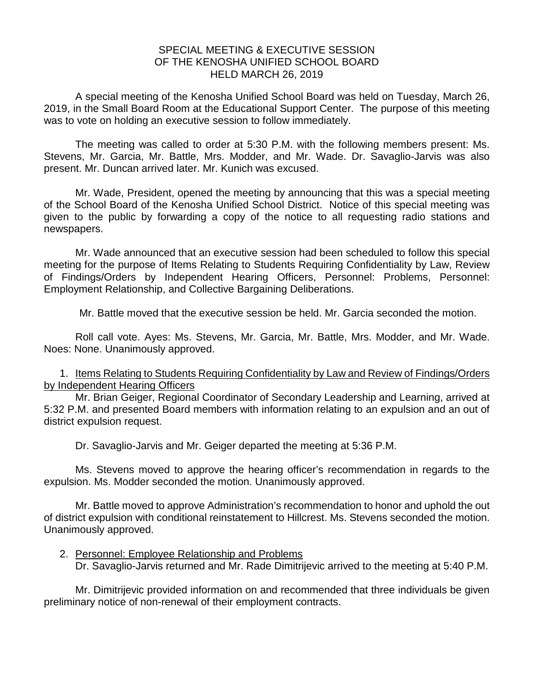## SPECIAL MEETING & EXECUTIVE SESSION OF THE KENOSHA UNIFIED SCHOOL BOARD HELD MARCH 26, 2019

A special meeting of the Kenosha Unified School Board was held on Tuesday, March 26, 2019, in the Small Board Room at the Educational Support Center. The purpose of this meeting was to vote on holding an executive session to follow immediately.

The meeting was called to order at 5:30 P.M. with the following members present: Ms. Stevens, Mr. Garcia, Mr. Battle, Mrs. Modder, and Mr. Wade. Dr. Savaglio-Jarvis was also present. Mr. Duncan arrived later. Mr. Kunich was excused.

Mr. Wade, President, opened the meeting by announcing that this was a special meeting of the School Board of the Kenosha Unified School District. Notice of this special meeting was given to the public by forwarding a copy of the notice to all requesting radio stations and newspapers.

Mr. Wade announced that an executive session had been scheduled to follow this special meeting for the purpose of Items Relating to Students Requiring Confidentiality by Law, Review of Findings/Orders by Independent Hearing Officers, Personnel: Problems, Personnel: Employment Relationship, and Collective Bargaining Deliberations.

Mr. Battle moved that the executive session be held. Mr. Garcia seconded the motion.

Roll call vote. Ayes: Ms. Stevens, Mr. Garcia, Mr. Battle, Mrs. Modder, and Mr. Wade. Noes: None. Unanimously approved.

1. Items Relating to Students Requiring Confidentiality by Law and Review of Findings/Orders by Independent Hearing Officers

Mr. Brian Geiger, Regional Coordinator of Secondary Leadership and Learning, arrived at 5:32 P.M. and presented Board members with information relating to an expulsion and an out of district expulsion request.

Dr. Savaglio-Jarvis and Mr. Geiger departed the meeting at 5:36 P.M.

Ms. Stevens moved to approve the hearing officer's recommendation in regards to the expulsion. Ms. Modder seconded the motion. Unanimously approved.

Mr. Battle moved to approve Administration's recommendation to honor and uphold the out of district expulsion with conditional reinstatement to Hillcrest. Ms. Stevens seconded the motion. Unanimously approved.

2. Personnel: Employee Relationship and Problems Dr. Savaglio-Jarvis returned and Mr. Rade Dimitrijevic arrived to the meeting at 5:40 P.M.

Mr. Dimitrijevic provided information on and recommended that three individuals be given preliminary notice of non-renewal of their employment contracts.